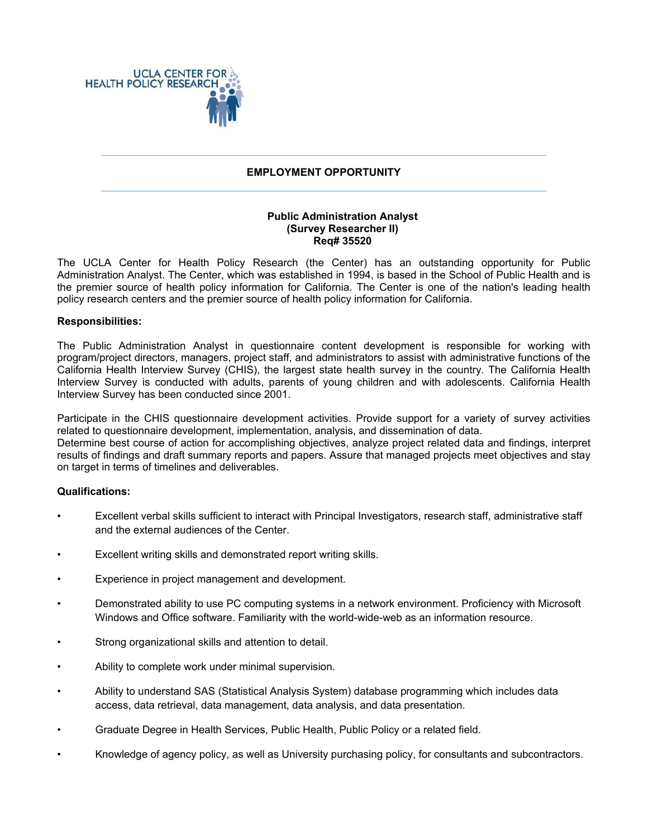

# **EMPLOYMENT OPPORTUNITY**

# **Public Administration Analyst (Survey Researcher II) Req# 35520**

The UCLA Center for Health Policy Research (the Center) has an outstanding opportunity for Public Administration Analyst. The Center, which was established in 1994, is based in the School of Public Health and is the premier source of health policy information for California. The Center is one of the nation's leading health policy research centers and the premier source of health policy information for California.

### **Responsibilities:**

The Public Administration Analyst in questionnaire content development is responsible for working with program/project directors, managers, project staff, and administrators to assist with administrative functions of the California Health Interview Survey (CHIS), the largest state health survey in the country. The California Health Interview Survey is conducted with adults, parents of young children and with adolescents. California Health Interview Survey has been conducted since 2001.

Participate in the CHIS questionnaire development activities. Provide support for a variety of survey activities related to questionnaire development, implementation, analysis, and dissemination of data. Determine best course of action for accomplishing objectives, analyze project related data and findings, interpret results of findings and draft summary reports and papers. Assure that managed projects meet objectives and stay on target in terms of timelines and deliverables.

### **Qualifications:**

- Excellent verbal skills sufficient to interact with Principal Investigators, research staff, administrative staff and the external audiences of the Center.
- Excellent writing skills and demonstrated report writing skills.
- Experience in project management and development.
- Demonstrated ability to use PC computing systems in a network environment. Proficiency with Microsoft Windows and Office software. Familiarity with the world-wide-web as an information resource.
- Strong organizational skills and attention to detail.
- Ability to complete work under minimal supervision.
- Ability to understand SAS (Statistical Analysis System) database programming which includes data access, data retrieval, data management, data analysis, and data presentation.
- Graduate Degree in Health Services, Public Health, Public Policy or a related field.
- Knowledge of agency policy, as well as University purchasing policy, for consultants and subcontractors.